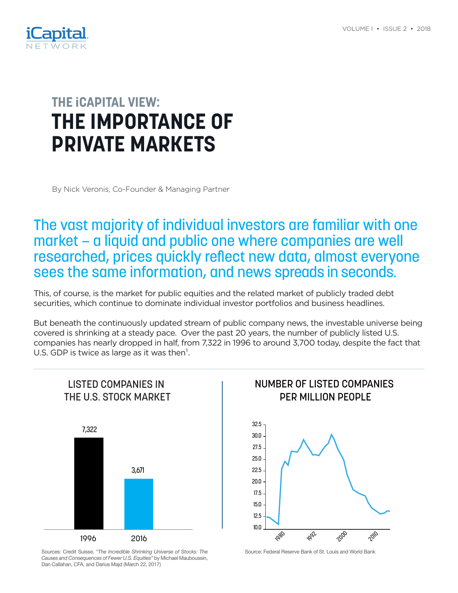

# **THE iCAPITAL VIEW: THE IMPORTANCE OF PRIVATE MARKETS**

By Nick Veronis, Co-Founder & Managing Partner

## The vast majority of individual investors are familiar with one market — a liquid and public one where companies are well researched, prices quickly reflect new data, almost everyone sees the same information, and news spreads in seconds.

This, of course, is the market for public equities and the related market of publicly traded debt securities, which continue to dominate individual investor portfolios and business headlines.

But beneath the continuously updated stream of public company news, the investable universe being covered is shrinking at a steady pace. Over the past 20 years, the number of publicly listed U.S. companies has nearly dropped in half, from 7,322 in 1996 to around 3,700 today, despite the fact that U.S. GDP is twice as large as it was then<sup>1</sup>.



Sources: Credit Suisse, *"The Incredible Shrinking Universe of Stocks: The Causes and Consequences of Fewer U.S. Equities"* by Michael Mauboussin, Dan Callahan, CFA, and Darius Majd (March 22, 2017)

### NUMBER OF LISTED COMPANIES PER MILLION PEOPLE



Source: Federal Reserve Bank of St. Louis and World Bank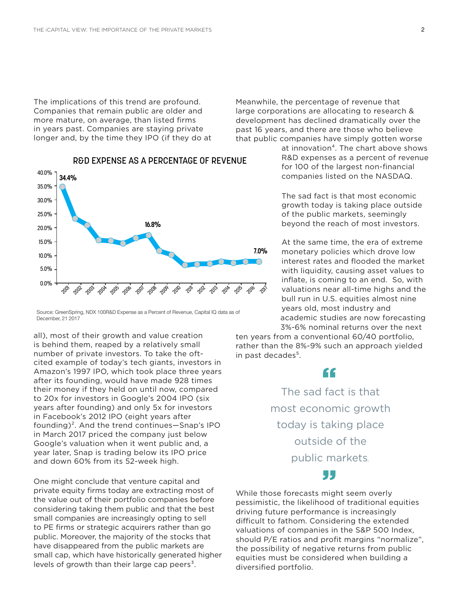The implications of this trend are profound. Companies that remain public are older and more mature, on average, than listed firms in years past. Companies are staying private longer and, by the time they IPO (if they do at



#### R&D EXPENSE AS A PERCENTAGE OF REVENUE

Source: GreenSpring, NDX 100R&D Expense as a Percent of Revenue, Capital IQ data as of December, 21 2017

all), most of their growth and value creation is behind them, reaped by a relatively small number of private investors. To take the oftcited example of today's tech giants, investors in Amazon's 1997 IPO, which took place three years after its founding, would have made 928 times their money if they held on until now, compared<br>to 20y far investors in Coogle's 2004 JPO (siy to 20x for investors in Google's 2004 IPO (six years after founding) and only 5x for investors in Facebook's 2012 IPO (eight years after founding)². And the trend continues—Snap's IPO in March 2017 priced the company just below Google's valuation when it went public and, a year later, Snap is trading below its IPO price and down 60% from its 52-week high.

One might conclude that venture capital and private equity firms today are extracting most of the value out of their portfolio companies before  $_{\text{pe}}$ considering taking them public and that the best small companies are increasingly opting to sell to PE firms or strategic acquirers rather than go public. Moreover, the majority of the stocks that have disappeared from the public markets are small cap, which have historically generated higher levels of growth than their large cap peers $3$ .

Meanwhile, the percentage of revenue that large corporations are allocating to research & development has declined dramatically over the past 16 years, and there are those who believe that public companies have simply gotten worse

> at innovation<sup>4</sup>. The chart above shows R&D expenses as a percent of revenue for 100 of the largest non-financial companies listed on the NASDAQ.

The sad fact is that most economic growth today is taking place outside of the public markets, seemingly beyond the reach of most investors.

At the same time, the era of extreme monetary policies which drove low interest rates and flooded the market with liquidity, causing asset values to inflate, is coming to an end. So, with valuations near all-time highs and the bull run in U.S. equities almost nine years old, most industry and academic studies are now forecasting 3%-6% nominal returns over the next

ten years from a conventional 60/40 portfolio, rather than the 8%-9% such an approach yielded in past decades<sup>5</sup>.

#### "

The sad fact is that most economic growth today is taking place outside of the public markets*.*

#### 77

While those forecasts might seem overly pessimistic, the likelihood of traditional equities driving future performance is increasingly difficult to fathom. Considering the extended valuations of companies in the S&P 500 Index, should P/E ratios and profit margins "normalize", the possibility of negative returns from public equities must be considered when building a diversified portfolio.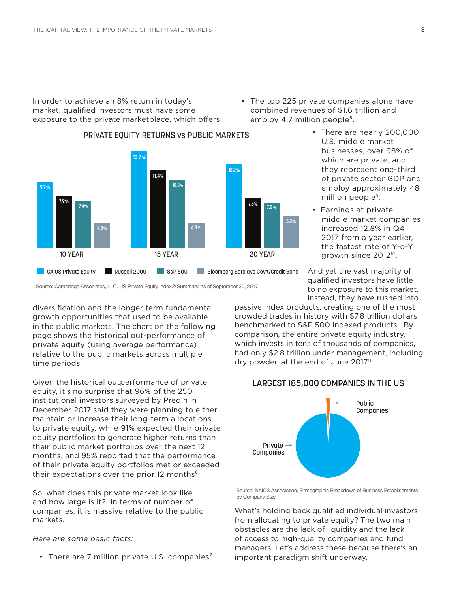In order to achieve an 8% return in today's market, qualified investors must have some exposure to the private marketplace, which offers • The top 225 private companies alone have combined revenues of \$1.6 trillion and employ 4.7 million people<sup>8</sup>.



PRIVATE EQUITY RETURNS vs PUBLIC MARKETS

- There are nearly 200,000 U.S. middle market businesses, over 98% of which are private, and they represent one-third of private sector GDP and employ approximately 48 million people<sup>9</sup>.  $\overline{\phantom{a}}$
- Earnings at private, middle market companies increased 12.8% in Q4 2017 from a year earlier, the fastest rate of Y-o-Y growth since 201210. Private Companies Public Companies

Source: Cambridge Associates, LLC. US Private Equity Index® Summary, as of September 30, 2017

diversification and the longer term fundamental growth opportunities that used to be available in the public markets. The chart on the following page shows the historical out-performance of private equity (using average performance) relative to the public markets across multiple time periods.

Given the historical outperformance of private equity, it's no surprise that 96% of the 250 institutional investors surveyed by Preqin in December 2017 said they were planning to either maintain or increase their long-term allocations to private equity, while 91% expected their private equity portfolios to generate higher returns than their public market portfolios over the next 12 months, and 95% reported that the performance of their private equity portfolios met or exceeded their expectations over the prior 12 months<sup>6</sup>.

So, what does this private market look like and how large is it? In terms of number of companies, it is massive relative to the public markets.

*Here are some basic facts:* 

• There are 7 million private U.S. companies<sup>7</sup>.

And yet the vast majority of qualified investors have little to no exposure to this market. Instead, they have rushed into

passive index products, creating one of the most **29.2% 14.1% 11.4% 7.4% -3.9%** crowded trades in history with \$7.8 trillion dollars benchmarked to S&P 500 Indexed products. By comparison, the entire private equity industry, which invests in tens of thousands of companies, had only \$2.8 trillion under management, including dry powder, at the end of June 2017<sup>11</sup>.

#### LARGEST 185,000 COMPANIES IN THE US



Source: NAICS Association, Firmographic Breakdown of Business Establishments by Company Size

What's holding back qualified individual investors from allocating to private equity? The two main obstacles are the lack of liquidity and the lack of access to high-quality companies and fund managers. Let's address these because there's an important paradigm shift underway.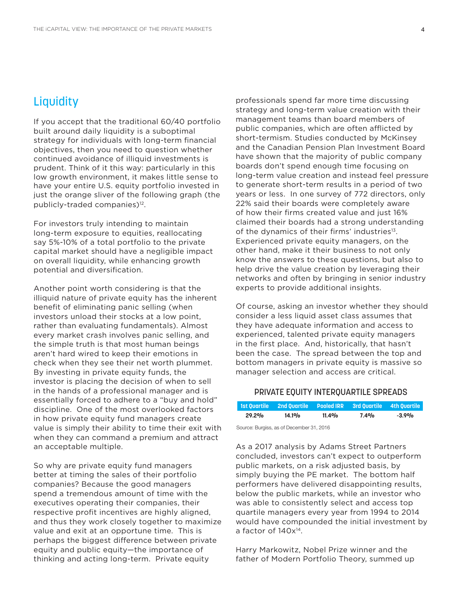## **Liquidity**

If you accept that the traditional 60/40 portfolio built around daily liquidity is a suboptimal strategy for individuals with long-term financial objectives, then you need to question whether continued avoidance of illiquid investments is prudent. Think of it this way: particularly in this 30.0 low growth environment, it makes little sense to have your entire U.S. equity portfolio invested in just the orange sliver of the following graph (the publicly-traded companies)<sup>12</sup>. 32.5

For investors truly intending to maintain long-term exposure to equities, reallocating say 5%-10% of a total portfolio to the private capital market should have a negligible impact on overall liquidity, while enhancing growth potential and diversification. 1996 2016

Another point worth considering is that the illiquid nature of private equity has the inherent **13.7 %** benefit of eliminating panic selling (when **11.4% 12.2%** investors unload their stocks at a low point, **10.0%** rather than evaluating fundamentals). Almost every market crash involves panic selling, and **7.5% 7.0%** the simple truth is that most human beings **5.2%** aren't hard wired to keep their emotions in **4.3% 4.3%** check when they see their net worth plummet. By investing in private equity funds, the investor is placing the decision of when to sell in the hands of a professional manager and is essentially forced to adhere to a "buy and hold" discipline. One of the most overlooked factors in how private equity fund managers create value is simply their ability to time their exit with when they can command a premium and attract an acceptable multiple.

> So why are private equity fund managers better at timing the sales of their portfolio companies? Because the good managers spend a tremendous amount of time with the executives operating their companies, their respective profit incentives are highly aligned, and thus they work closely together to maximize value and exit at an opportune time. This is perhaps the biggest difference between private equity and public equity—the importance of thinking and acting long-term. Private equity

professionals spend far more time discussing strategy and long-term value creation with their management teams than board members of public companies, which are often afflicted by short-termism. Studies conducted by McKinsey and the Canadian Pension Plan Investment Board and the canadian Fersion Fram investment Board<br>have shown that the majority of public company boards don't spend enough time focusing on long-term value creation and instead feel pressure to generate short-term results in a period of two 20.0% **16.8%** years or less. In one survey of 772 directors, only <sub>2</sub><br>22% said their boards were completely aware of how their firms created value and just 16% claimed their boards had a strong understanding of the dynamics of their firms' industries<sup>13</sup>. Experienced private equity managers, on the other hand, make it their business to not only know the answers to these questions, but also to help drive the value creation by leveraging their networks and often by bringing in senior industry experts to provide additional insights. 5.0%

Of course, asking an investor whether they should consider a less liquid asset class assumes that they have adequate information and access to experienced, talented private equity managers in the first place. And, historically, that hasn't been the case. The spread between the top and bottom managers in private equity is massive so manager selection and access are critical.

#### PRIVATE EQUITY INTERQUARTILE SPREADS

|       | 1st Ouartile 2nd Ouartile Pooled IRR 3rd Ouartile 4th Ouartile |       |      |       |
|-------|----------------------------------------------------------------|-------|------|-------|
| 29.2% | 14.1%                                                          | 11.4% | 7.4% | -3.9% |

Source: Burgiss, as of December 31, 2016

As a 2017 analysis by Adams Street Partners concluded, investors can't expect to outperform public markets, on a risk adjusted basis, by simply buying the PE market. The bottom half performers have delivered disappointing results, below the public markets, while an investor who was able to consistently select and access top quartile managers every year from 1994 to 2014 would have compounded the initial investment by a factor of 140x<sup>14</sup>.

Harry Markowitz, Nobel Prize winner and the father of Modern Portfolio Theory, summed up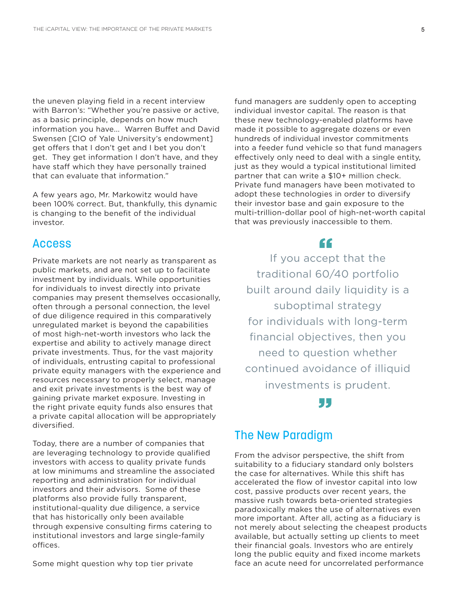the uneven playing field in a recent interview with Barron's: "Whether you're passive or active, as a basic principle, depends on how much information you have... Warren Buffet and David Swensen [CIO of Yale University's endowment] get offers that I don't get and I bet you don't get. They get information I don't have, and they have staff which they have personally trained that can evaluate that information."

A few years ago, Mr. Markowitz would have been 100% correct. But, thankfully, this dynamic is changing to the benefit of the individual investor.

#### Access

Private markets are not nearly as transparent as public markets, and are not set up to facilitate investment by individuals. While opportunities for individuals to invest directly into private companies may present themselves occasionally, often through a personal connection, the level of due diligence required in this comparatively unregulated market is beyond the capabilities of most high-net-worth investors who lack the expertise and ability to actively manage direct private investments. Thus, for the vast majority of individuals, entrusting capital to professional private equity managers with the experience and resources necessary to properly select, manage and exit private investments is the best way of gaining private market exposure. Investing in the right private equity funds also ensures that a private capital allocation will be appropriately diversified.

Today, there are a number of companies that are leveraging technology to provide qualified investors with access to quality private funds at low minimums and streamline the associated reporting and administration for individual investors and their advisors. Some of these platforms also provide fully transparent, institutional-quality due diligence, a service that has historically only been available through expensive consulting firms catering to institutional investors and large single-family offices.

Some might question why top tier private

fund managers are suddenly open to accepting individual investor capital. The reason is that these new technology-enabled platforms have made it possible to aggregate dozens or even hundreds of individual investor commitments into a feeder fund vehicle so that fund managers effectively only need to deal with a single entity, just as they would a typical institutional limited partner that can write a \$10+ million check. Private fund managers have been motivated to adopt these technologies in order to diversify their investor base and gain exposure to the multi-trillion-dollar pool of high-net-worth capital that was previously inaccessible to them.

## "

If you accept that the traditional 60/40 portfolio built around daily liquidity is a suboptimal strategy for individuals with long-term financial objectives, then you need to question whether continued avoidance of illiquid investments is prudent.

## , ,

### The New Paradigm

From the advisor perspective, the shift from suitability to a fiduciary standard only bolsters the case for alternatives. While this shift has accelerated the flow of investor capital into low cost, passive products over recent years, the massive rush towards beta-oriented strategies paradoxically makes the use of alternatives even more important. After all, acting as a fiduciary is not merely about selecting the cheapest products available, but actually setting up clients to meet their financial goals. Investors who are entirely long the public equity and fixed income markets face an acute need for uncorrelated performance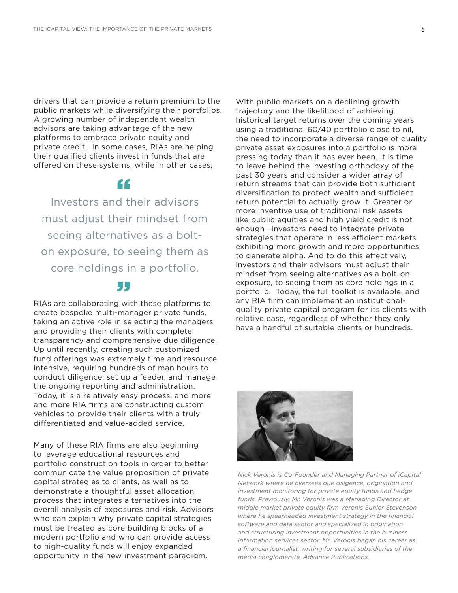drivers that can provide a return premium to the public markets while diversifying their portfolios. A growing number of independent wealth advisors are taking advantage of the new platforms to embrace private equity and private credit. In some cases, RIAs are helping their qualified clients invest in funds that are offered on these systems, while in other cases,

## "

Investors and their advisors must adjust their mindset from seeing alternatives as a bolton exposure, to seeing them as core holdings in a portfolio.

## 55

RIAs are collaborating with these platforms to create bespoke multi-manager private funds, taking an active role in selecting the managers and providing their clients with complete transparency and comprehensive due diligence. Up until recently, creating such customized fund offerings was extremely time and resource intensive, requiring hundreds of man hours to conduct diligence, set up a feeder, and manage the ongoing reporting and administration. Today, it is a relatively easy process, and more and more RIA firms are constructing custom vehicles to provide their clients with a truly differentiated and value-added service.

Many of these RIA firms are also beginning to leverage educational resources and portfolio construction tools in order to better communicate the value proposition of private capital strategies to clients, as well as to demonstrate a thoughtful asset allocation process that integrates alternatives into the overall analysis of exposures and risk. Advisors who can explain why private capital strategies must be treated as core building blocks of a modern portfolio and who can provide access to high-quality funds will enjoy expanded opportunity in the new investment paradigm.

With public markets on a declining growth trajectory and the likelihood of achieving historical target returns over the coming years using a traditional 60/40 portfolio close to nil, the need to incorporate a diverse range of quality private asset exposures into a portfolio is more pressing today than it has ever been. It is time to leave behind the investing orthodoxy of the past 30 years and consider a wider array of return streams that can provide both sufficient diversification to protect wealth and sufficient return potential to actually grow it. Greater or more inventive use of traditional risk assets like public equities and high yield credit is not enough—investors need to integrate private strategies that operate in less efficient markets exhibiting more growth and more opportunities to generate alpha. And to do this effectively, investors and their advisors must adjust their mindset from seeing alternatives as a bolt-on exposure, to seeing them as core holdings in a portfolio. Today, the full toolkit is available, and any RIA firm can implement an institutionalquality private capital program for its clients with relative ease, regardless of whether they only have a handful of suitable clients or hundreds.



*Nick Veronis is Co-Founder and Managing Partner of iCapital Network where he oversees due diligence, origination and investment monitoring for private equity funds and hedge funds. Previously, Mr. Veronis was a Managing Director at middle market private equity firm Veronis Suhler Stevenson where he spearheaded investment strategy in the financial software and data sector and specialized in origination and structuring investment opportunities in the business information services sector. Mr. Veronis began his career as a financial journalist, writing for several subsidiaries of the media conglomerate, Advance Publications.*